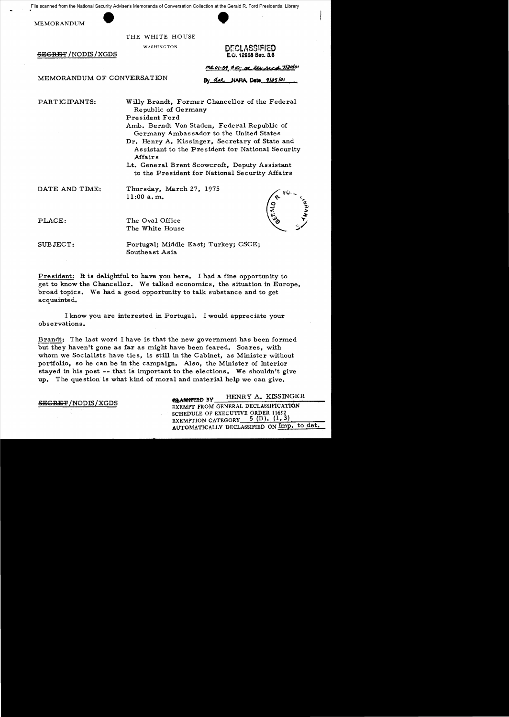File scanned from the National Security Adviser's Memoranda of Conversation Collection at the Gerald R. Ford Presidential Library<br>MEMORANDUM<br>THE WHITE HOUSE

MEMORANDUM

THE WHITE HOUSE

WASHINGTON DECLASSIFIED<br>E.O. 12958 Sec. 3.6

By dal NARA, Data 9/25/01

 $-$ <del>SEGRET</del> /NODIS/XGDS

<u> MR 01-39 #10; at liv ried 7/30/</u>01

MEMORANDUM OF CONVERSATION

PARTICIPANTS: Willy Brandt, Former Chancellor of the Federal Republic of Germany President Ford

> Amb. Berndt Von Staden, Federal Republic of Germany Ambassador to the United States

Dr. Henry A. Kissinger, Secretary of State and Assistant to the President for National Security Affairs

Lt. General Brent Scowcroft, Deputy Assistant to the President for National Security Mfairs

DATE AND TIME: Thursday, March 27, 1975 11:00 a. m.

PLACE: The Oval Office The White House

SUBJECT: Portugal; Middle East; Turkey; CSCEj Southeast Asia

President: It is delightful to have you here. I had a fine opportunity to get to know the Chancellor. We talked economics, the situation in Europe, broad topics. We had a good opportunity to talk substance and to get acquainted.

I know you are interested in Portugal. I would appreciate your observations.

Brandt: The last word I have is that the new government has been formed but they haven't gone as far as might have been feared. Soares, with whom we Socialists have ties, is still in the Cabinet, as Minister without portfolio, so he can be in the campaign. Also, the Minister of Interior stayed in his post -- that is important to the elections. We shouldn't give up. The question is what kind of moral and material help we can give.

**AMMPT BY HENRY A. KISSINGER SEGRET/NODIS/XGDS** EXEMPT FROM GENERAL DECLASSIFICATION SCHEDULE OF EXECUTIVE ORDER 11652 EXEMPTION CATEGORY  $5$  (B), (1, 3) AUTOMATICALLY DECLASSIFIED ON Imp. to det.

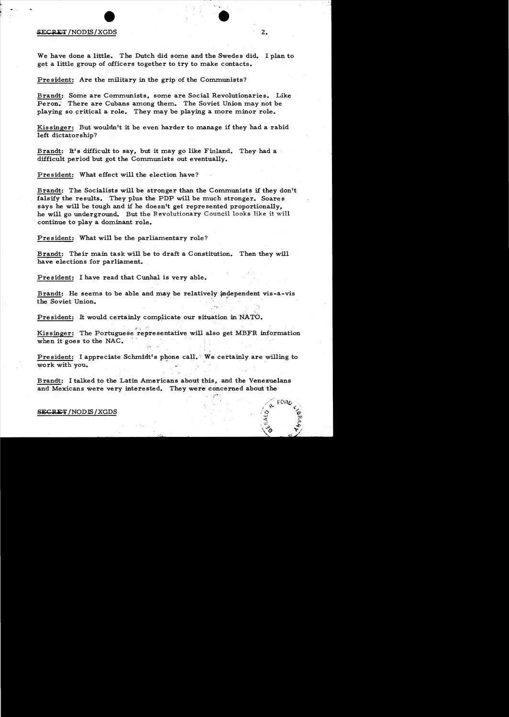# ~ECR~~/NODffi/XGDS •

We have done a little. The Dutch did some and the Swedes did. I plan to get a little group of officers together to try to make contacts.

President: Are the military in the grip of the Communists?

Brandt: Some are Communists, some are Social Revolutionaries. Like Peron. There are Cubans among them. The Soviet Union may not be playing so critical a role. They may be playing a more minor role.

Kissinger: But wouldn't it be even harder to manage if they had a rabid left dictatorship?

Brandt: It's difficult to say, but it may go like Finland. They had a difficult period but got the Communists out eventually.

President: What effect will the election have?

Brandt: The Socialists will be stronger than the Communists if they don't falsify the results. They plus the PDP will be much stronger. Soares says he will be tough and if he doesn't get represented proportionally, he will go underground. But the Revolutionary Council looks like it will continue to playa dominant role.

President: What will be the parliamentary role?

Brandt: Their main task will be to draft a Constitution. Then they will have elections for parliament.

President: I have read that Cunhal is very able.<br>Brandt: He seems to be able and may be relatively ind the Soviet Union. Brandt: He seems to be able and may be relatively independent vis-a-vis

President: It would certainly complicate our situation in NATO.

""':, "~',.

Kissinger: The Portuguese representative will also get MBFR information the Soviet Union.<br>
President: It would certainly complicate our situation is<br>
Kissinger: The Portuguese representative will also get<br>
when it goes to the NAC.

President: I appreciate Schmidt's phone call.' We certainly are willing to work with you.

Brandt: I talked to the Latin Americans about this, and the Venezuelans and Mexicans were very interested. They were concerned about the

z.

#### SECRET/NODIS/XGDS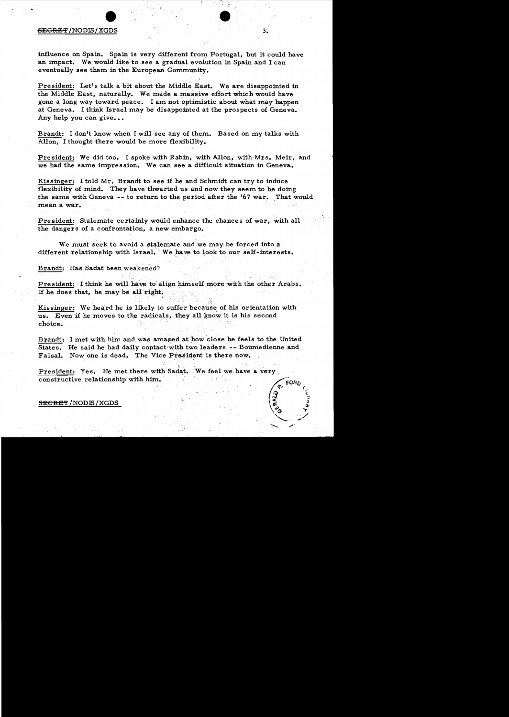#### $S_{\rm EGRBF}/{\rm NODIS}/{\rm XGDS}$  3.

influence on Spain. Spain is very different from Portugal, but it could have an impact. We would like to see a gradual evolution in Spain and I can eventually see them in the European Community.

President: Let's talk a bit about the Middle East. We are disappointed in the Middle East, naturally. We made a massive effort which would have gone a long way toward peace. I am not optimistic about what may happen at Geneva. I think Israel may be disappointed at the prospects of Geneva. Any help you can give...

Brandt: I don't know when I will see any of them. Based on my talks with Allon, I thought there would be more flexibility.

President: We did too. I spoke with Rabin, with Allon, with Mrs. Meir, and we had the same impression. We can see a difficult situation in Geneva.

Kissinger: I told Mr. Brandt to see if he and Schmidt can try to induce flexibility of mind. They have thwarted us and now they seem to be doing the same with Geneva -- to return to the period after the '67 war. That would mean a war.

President: Stalemate certainly would enhance the chances of war, with all the dangers of a confrontation, a new embargo.

We must seek to avoid a stalemate and we may be forced into a different relationship with Israel. We have to look to our self-interests.

Brandt: Has Sadat been weakened?

President: I think he will have to align himself more with the other Arabs. If he does that, he may be all right.

Kissinger: We heard he is likely to suffer because of his orientation with us. Even if he moves to the radicals, they all know it is his second choice.

Brandt: I met with him and was amazed at how close he feels to the United States. He said he had daily contact with two leaders  $-$ - Bournedienne and Faisal. Now one is dead. The Vice President is there now.

President: Yes. He met there with Sadat. We feel we have a very<br>constructive relationship with him.<br> $\sqrt{2}$ SECRE'f /NODIS /XGDS f? <sup>l</sup> \~ ~ \() .,.. ,./ '-- , ... ~ "",'

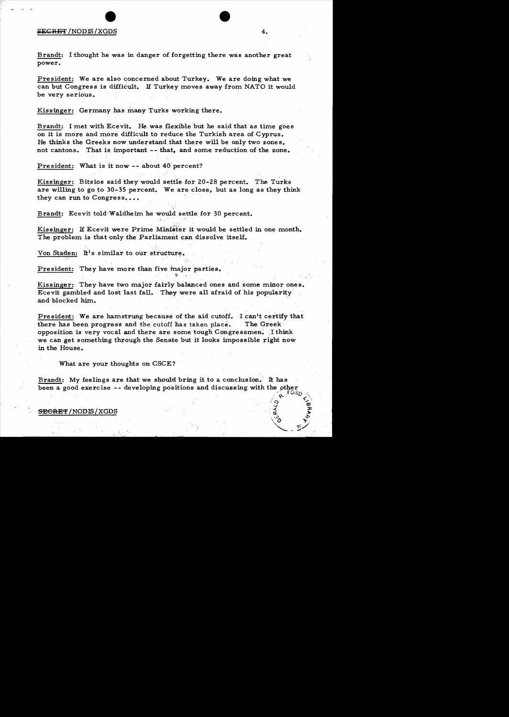### SECRET /NODIS/XGDS 4.

Brandt: I thought he was in danger of forgetting there was another great power.

President: We are also concerned about Turkey. We are doing what we can but Congress is difficult. H Turkey moves away from NATO it would be very serious.

Kissinger: Germany has many Turks working there.

Brandt: I met with Ecevit. He was flexible but he said that as time goes on it is more and more difficult to reduce the Turkish area of Cyprus. He thinks the Greeks now understand that there will be only two zones. not cantons. That is important -- that, and some reduction of the zone.

President: What is it now -- about 40 percent?

, ' Kissinger: Bitsios said they would settle for 20-28 percent. The Turks are willing to go to  $30-35$  percent. We are close, but as long as they think they can run to Congress....

Brandt: Ecevit told Waldheim he would settle for 30 percent.

Kissinger: If Ecevit were Prime Minister it would be settled in one month. The problem is that only the Parliament can dissolve itself.

Von Staden: It's similar to our structure.

 $\mathcal{L} = \left\{ \begin{array}{ll} \mathcal{L}_{\mathcal{A}} & \mathcal{L}_{\mathcal{A}} \geq \mathcal{L}_{\mathcal{A}} \ \mathcal{L}_{\mathcal{A}} & \mathcal{L}_{\mathcal{A}} \geq \mathcal{L}_{\mathcal{A}} \end{array} \right.$ 

President: They have more than five major parties.

Kissinger: They have two major fairly balanced ones and some minor ones. Ecevit gambled and lost last fall. They were all afraid of his popularity' and blocked him. '

If'

President: We are hamstrung because of the aid cutoff. I can't certify that there has been progress and the cutoff has taken place. The Greek' opposition is very vocal and there are some tough Congressmen. I think we can get something through the Senate but it looks impossible right now in the House.

What are your thoughts on CSCE?

Brandt: My feelings are that we should bring it to a conclusion. It has been a good exercise  $-$ - developing positions and discussing with the other

 ${\tt SECREF}$  /  ${\tt NODIS}$  /  ${\tt XGDS}$ 

 $\frac{1}{3}$  ,  $\frac{1}{9}$ 

 $\sqrt[3]{\circ}$  ,  $\vec{r}$  $\searrow$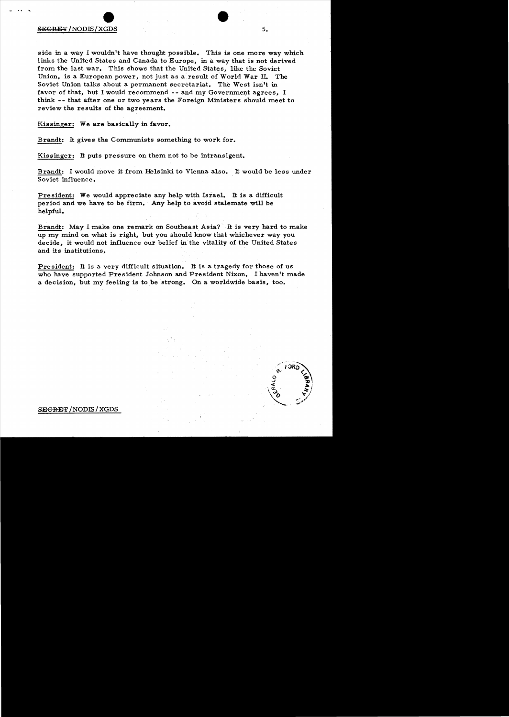## $\bullet$  $S$  is the second second second second second second second second second second second second second second second second second second second second second second second second second second second second second second

side in a way I wouldn't have thought possible. This is one more way which links the United States and Canada to Europe, in a way that is not derived from the last war. This shows that the United States, like the Soviet Union, is a European power, not just as a result of World War IL The Soviet Union talks about a permanent secretariat. The West isn't in favor of that, but I would recommend -- and my Government agrees, I think - - that after one or two years the Foreign Ministers should meet to review the results of the agreement.

Kissinger: We are basically in favor.

Brandt: It gives the Communists something to work for.

Kissinger: It puts pressure on them not to be intransigent.

Brandt: I would move it from Helsinki to Vienna also. It would be less under Soviet influence.

President: We would appreciate any help with Israel. It is a difficult period and we have to be firm. Any help to avoid stalemate will be helpful.

Brandt: May I make one remark on Southeast Asia? It is very hard to make up my mind on what is right, but you should know that whichever way you decide, it would not influence our belief in the vitality of the United States and its institutions.

President: It is a very difficult situation. It is a tragedy for those of us who have supported President Johnson and President Nixon. I haventt made a decision, but my feeling is to be strong. On a worldwide basis, too.



SECRET /NODIS/XGDS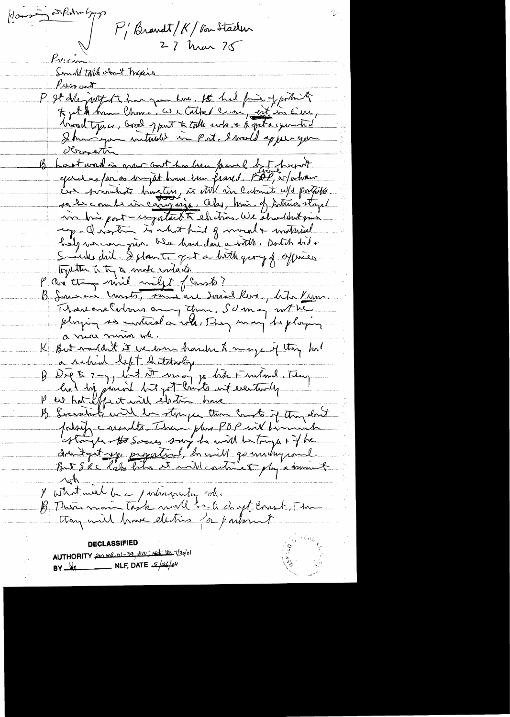Gours at Pulm Song  $P'_1$ Brandt/K/barstælen Pression Small talk and thexis  $\mu_{\text{max}}$ P It deport has you have, the had fine of portioning Je jet in home Chome: We cathed con, est in Em, troud topics, breed opport to talk subs. + 6 pet a cycombial B hastward is now out his brun family by present gand us far as bright home been feared. PDP, as forhomo Eur présents bruction, es villain calment ups partielles. vo bis post-ingotant to chitras We shouldn't qui up- Quartin is what hid of mount + mothial hilp we can give ble how done a with. Doth did + Smilles chil. I plante get a bitte group of offrices. together to try a make untaken P. an though mil milit flants? B. Soumain Unists, sont au Social Ros, bita Krons. Marcone Entone any than, SU may not he playing so interior with They may be playing a near mour when K But muldet it we even harder to may if they had a ration left distribution B Dig & 7 7, lat it mot jo like Finland. They B Sverstadt with her storyer then counts if they don't potreje casadte Than plus POP will binning druitgit up propaticul, la mill gourn duquand.<br>But S R c help film et mill continue of by a dominist  $\Delta s$ I what well be parliamenty inde B Therman Task mill be a chyt const. The they will have electric for partners to **DECLASSIFIED** AUTHORITY frame 01-39, 210; 46 Ha. 7/30/01 BY  $\frac{1}{2}$  NLF, DATE  $\frac{5}{46}$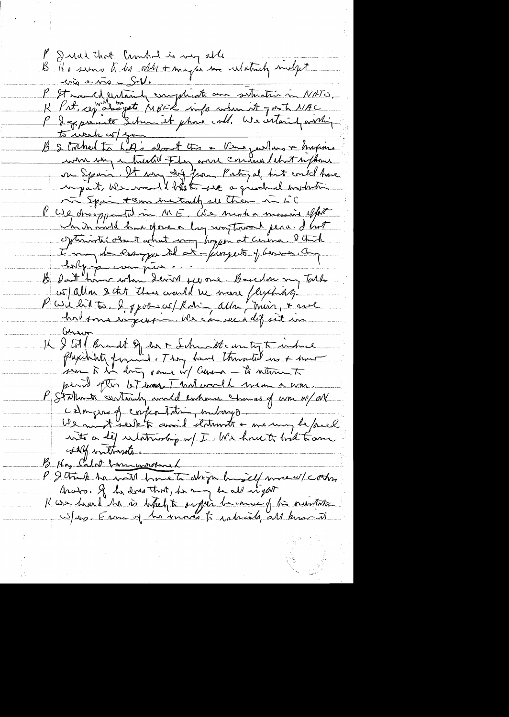P Just that Crowned is weg able<br>B Ha sino K b all the partie whathat milyt en a vio e S-V. P It mande entante emplicate au situation in NATO.<br>R Prt, ceptaliste schmitte info when it gost NAC<br>P desperante schmitt phone coll. We untained within were in interested Fly and contain librat replace To Epain + ann mutually see them in EC We dropp til in ME, We minha mossive effect wh in mill have opone a long way toward pena. I hat cytimister obent what was knyen at cerema. I think belgijn van june en sommelon ny Talk w all a sont there would be more flyching Part lit to. 2, port cor Robin alla Mais, + rue Garner IL & LA Brandt & en 1 Schmatte un ty To induce perid pter let was That world man a com. P Stationate containly model entrance changes of wom w/all celon que of confrontation, interrys. We must seek to avoid statements + me may be faced salf intraste. Has Sadot barrymotional P & truck ha with home to drip his if we w/ cothes Anato. If he does that, he are in all ingert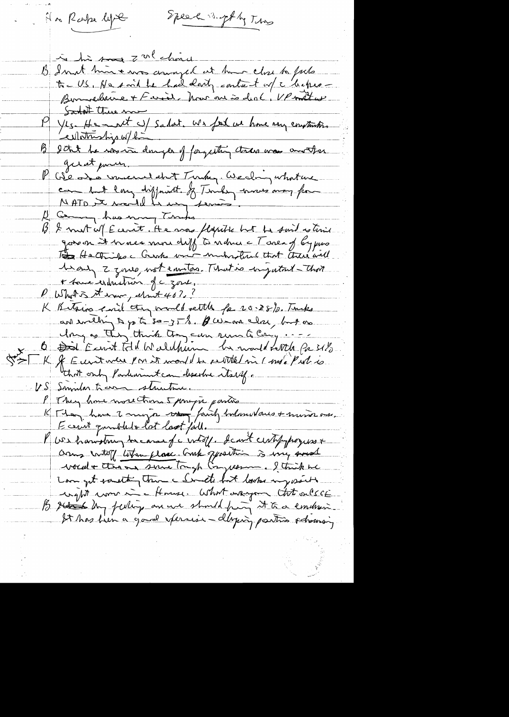Speech suptly Tuns Ha Rake lyse in his son zol china B In it him + mos amazed at home close to fock Santat there ma Yes He most a) salat. We feel us home very environte B setat he was in danger of forgetting that was another girat power. P Géo des vincentaint Turke, Weding what we<br>come hut lang diffruit & Turkey moves may for George has mong Turks 13 & mut w/ E cent . He was flapitie but the suit estime govern it knows more diff to nature = T area of by pres To He Chiko c Creates with much that there will heary 2 goues, not emitors. That is injutant - That + some enduction gc zone, P Wholet the sure, elect 40? K Bitsing eard they would rettle for 20.28%. Turks and evelying to p to so-y T %. A we are close, but on May as they think they can sum to Cary ... O Did Einst Fill Waldhum be mort fattle for SIL K & Eurit vier par it mont des seit tel mi (ms. Put is  $\Im \geq$ US Semilar trans structure P They have more than 5 propre parties K Man hour 2 major vous fairly todouvelous + moise aus.<br>Eccrit qualitat lot loot fait. V US hawdrug because of wholf, deant cent progress + come intoff liter place. Comb opposition is viny around vocal+ the an sure tough Congression. I trick me Langet something theme Indte both looks my south wight word in flowse. What why that onlect B setten dans feeling are we should find it to a condension It has firm a good sperses - daying parties observing